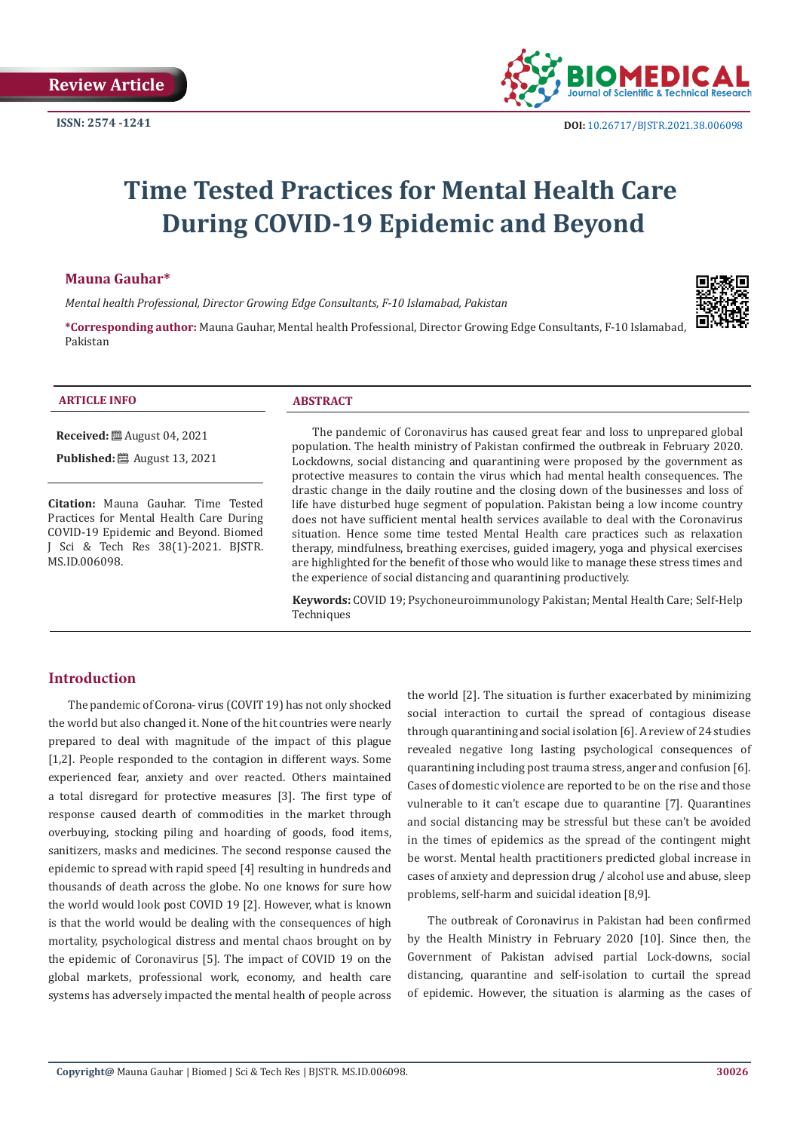

# **Time Tested Practices for Mental Health Care During COVID-19 Epidemic and Beyond**

## **Mauna Gauhar\***

*Mental health Professional, Director Growing Edge Consultants, F-10 Islamabad, Pakistan*



**\*Corresponding author:** Mauna Gauhar, Mental health Professional, Director Growing Edge Consultants, F-10 Islamabad, Pakistan

| $-225$ $-255$<br><b>ARTICLE INFO</b> | $\sqrt{2}$<br>TRACT<br>ЛD |
|--------------------------------------|---------------------------|
|                                      |                           |

**Received:** August 04, 2021 **Published:** ■ August 13, 2021

**Citation:** Mauna Gauhar. Time Tested Practices for Mental Health Care During COVID-19 Epidemic and Beyond. Biomed J Sci & Tech Res 38(1)-2021. BJSTR. MS.ID.006098.

The pandemic of Coronavirus has caused great fear and loss to unprepared global population. The health ministry of Pakistan confirmed the outbreak in February 2020. Lockdowns, social distancing and quarantining were proposed by the government as protective measures to contain the virus which had mental health consequences. The drastic change in the daily routine and the closing down of the businesses and loss of life have disturbed huge segment of population. Pakistan being a low income country does not have sufficient mental health services available to deal with the Coronavirus situation. Hence some time tested Mental Health care practices such as relaxation therapy, mindfulness, breathing exercises, guided imagery, yoga and physical exercises are highlighted for the benefit of those who would like to manage these stress times and the experience of social distancing and quarantining productively.

**Keywords:** COVID 19; Psychoneuroimmunology Pakistan; Mental Health Care; Self-Help **Techniques** 

## **Introduction**

The pandemic of Corona- virus (COVIT 19) has not only shocked the world but also changed it. None of the hit countries were nearly prepared to deal with magnitude of the impact of this plague [1,2]. People responded to the contagion in different ways. Some experienced fear, anxiety and over reacted. Others maintained a total disregard for protective measures [3]. The first type of response caused dearth of commodities in the market through overbuying, stocking piling and hoarding of goods, food items, sanitizers, masks and medicines. The second response caused the epidemic to spread with rapid speed [4] resulting in hundreds and thousands of death across the globe. No one knows for sure how the world would look post COVID 19 [2]. However, what is known is that the world would be dealing with the consequences of high mortality, psychological distress and mental chaos brought on by the epidemic of Coronavirus [5]. The impact of COVID 19 on the global markets, professional work, economy, and health care systems has adversely impacted the mental health of people across

the world [2]. The situation is further exacerbated by minimizing social interaction to curtail the spread of contagious disease through quarantining and social isolation [6]. A review of 24 studies revealed negative long lasting psychological consequences of quarantining including post trauma stress, anger and confusion [6]. Cases of domestic violence are reported to be on the rise and those vulnerable to it can't escape due to quarantine [7]. Quarantines and social distancing may be stressful but these can't be avoided in the times of epidemics as the spread of the contingent might be worst. Mental health practitioners predicted global increase in cases of anxiety and depression drug / alcohol use and abuse, sleep problems, self-harm and suicidal ideation [8,9].

The outbreak of Coronavirus in Pakistan had been confirmed by the Health Ministry in February 2020 [10]. Since then, the Government of Pakistan advised partial Lock-downs, social distancing, quarantine and self-isolation to curtail the spread of epidemic. However, the situation is alarming as the cases of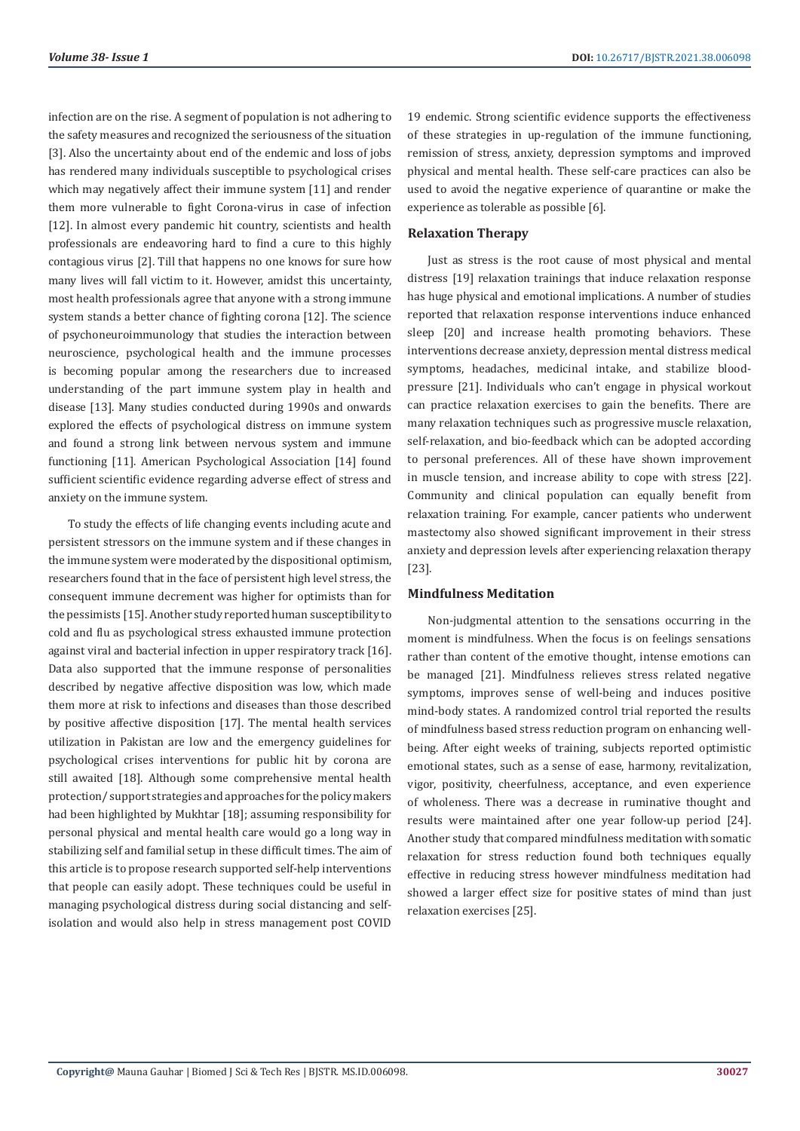infection are on the rise. A segment of population is not adhering to the safety measures and recognized the seriousness of the situation [3]. Also the uncertainty about end of the endemic and loss of jobs has rendered many individuals susceptible to psychological crises which may negatively affect their immune system [11] and render them more vulnerable to fight Corona-virus in case of infection [12]. In almost every pandemic hit country, scientists and health professionals are endeavoring hard to find a cure to this highly contagious virus [2]. Till that happens no one knows for sure how many lives will fall victim to it. However, amidst this uncertainty, most health professionals agree that anyone with a strong immune system stands a better chance of fighting corona [12]. The science of psychoneuroimmunology that studies the interaction between neuroscience, psychological health and the immune processes is becoming popular among the researchers due to increased understanding of the part immune system play in health and disease [13]. Many studies conducted during 1990s and onwards explored the effects of psychological distress on immune system and found a strong link between nervous system and immune functioning [11]. American Psychological Association [14] found sufficient scientific evidence regarding adverse effect of stress and anxiety on the immune system.

To study the effects of life changing events including acute and persistent stressors on the immune system and if these changes in the immune system were moderated by the dispositional optimism, researchers found that in the face of persistent high level stress, the consequent immune decrement was higher for optimists than for the pessimists [15]. Another study reported human susceptibility to cold and flu as psychological stress exhausted immune protection against viral and bacterial infection in upper respiratory track [16]. Data also supported that the immune response of personalities described by negative affective disposition was low, which made them more at risk to infections and diseases than those described by positive affective disposition [17]. The mental health services utilization in Pakistan are low and the emergency guidelines for psychological crises interventions for public hit by corona are still awaited [18]. Although some comprehensive mental health protection/ support strategies and approaches for the policy makers had been highlighted by Mukhtar [18]; assuming responsibility for personal physical and mental health care would go a long way in stabilizing self and familial setup in these difficult times. The aim of this article is to propose research supported self-help interventions that people can easily adopt. These techniques could be useful in managing psychological distress during social distancing and selfisolation and would also help in stress management post COVID 19 endemic. Strong scientific evidence supports the effectiveness of these strategies in up-regulation of the immune functioning, remission of stress, anxiety, depression symptoms and improved physical and mental health. These self-care practices can also be used to avoid the negative experience of quarantine or make the experience as tolerable as possible [6].

### **Relaxation Therapy**

Just as stress is the root cause of most physical and mental distress [19] relaxation trainings that induce relaxation response has huge physical and emotional implications. A number of studies reported that relaxation response interventions induce enhanced sleep [20] and increase health promoting behaviors. These interventions decrease anxiety, depression mental distress medical symptoms, headaches, medicinal intake, and stabilize bloodpressure [21]. Individuals who can't engage in physical workout can practice relaxation exercises to gain the benefits. There are many relaxation techniques such as progressive muscle relaxation, self-relaxation, and bio-feedback which can be adopted according to personal preferences. All of these have shown improvement in muscle tension, and increase ability to cope with stress [22]. Community and clinical population can equally benefit from relaxation training. For example, cancer patients who underwent mastectomy also showed significant improvement in their stress anxiety and depression levels after experiencing relaxation therapy [23].

#### **Mindfulness Meditation**

Non-judgmental attention to the sensations occurring in the moment is mindfulness. When the focus is on feelings sensations rather than content of the emotive thought, intense emotions can be managed [21]. Mindfulness relieves stress related negative symptoms, improves sense of well-being and induces positive mind-body states. A randomized control trial reported the results of mindfulness based stress reduction program on enhancing wellbeing. After eight weeks of training, subjects reported optimistic emotional states, such as a sense of ease, harmony, revitalization, vigor, positivity, cheerfulness, acceptance, and even experience of wholeness. There was a decrease in ruminative thought and results were maintained after one year follow-up period [24]. Another study that compared mindfulness meditation with somatic relaxation for stress reduction found both techniques equally effective in reducing stress however mindfulness meditation had showed a larger effect size for positive states of mind than just relaxation exercises [25].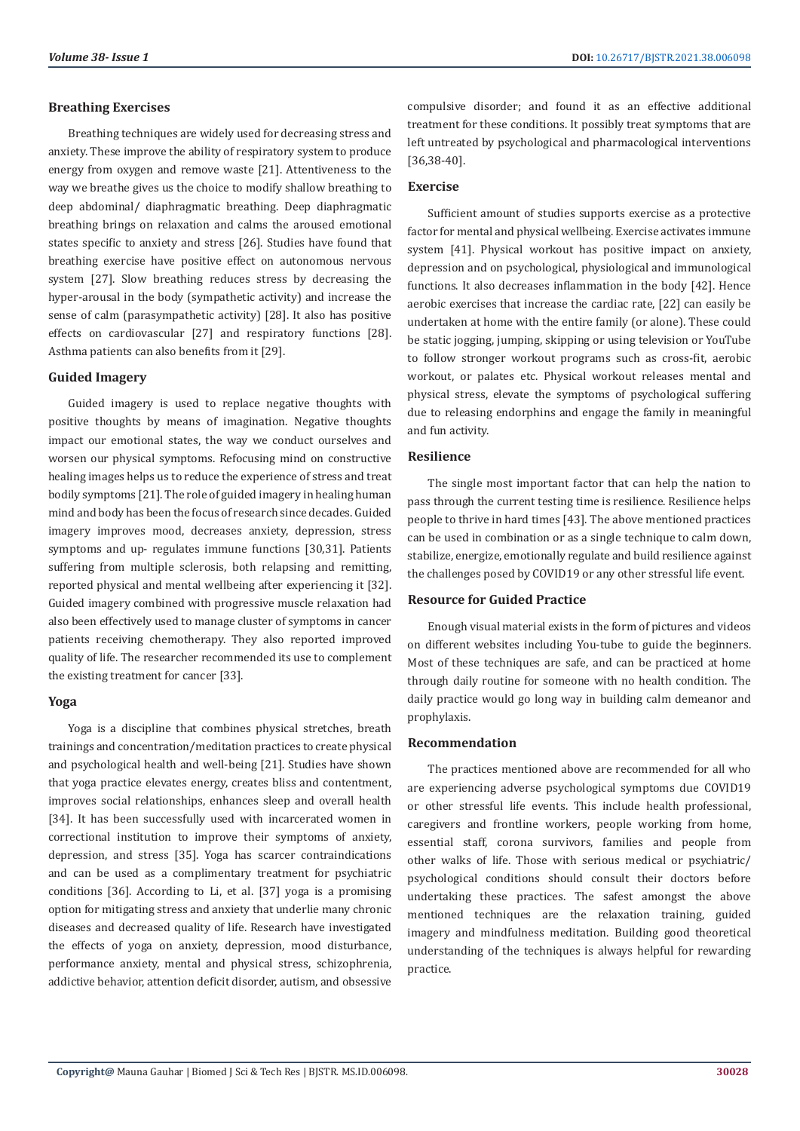#### **Breathing Exercises**

Breathing techniques are widely used for decreasing stress and anxiety. These improve the ability of respiratory system to produce energy from oxygen and remove waste [21]. Attentiveness to the way we breathe gives us the choice to modify shallow breathing to deep abdominal/ diaphragmatic breathing. Deep diaphragmatic breathing brings on relaxation and calms the aroused emotional states specific to anxiety and stress [26]. Studies have found that breathing exercise have positive effect on autonomous nervous system [27]. Slow breathing reduces stress by decreasing the hyper-arousal in the body (sympathetic activity) and increase the sense of calm (parasympathetic activity) [28]. It also has positive effects on cardiovascular [27] and respiratory functions [28]. Asthma patients can also benefits from it [29].

#### **Guided Imagery**

Guided imagery is used to replace negative thoughts with positive thoughts by means of imagination. Negative thoughts impact our emotional states, the way we conduct ourselves and worsen our physical symptoms. Refocusing mind on constructive healing images helps us to reduce the experience of stress and treat bodily symptoms [21]. The role of guided imagery in healing human mind and body has been the focus of research since decades. Guided imagery improves mood, decreases anxiety, depression, stress symptoms and up- regulates immune functions [30,31]. Patients suffering from multiple sclerosis, both relapsing and remitting, reported physical and mental wellbeing after experiencing it [32]. Guided imagery combined with progressive muscle relaxation had also been effectively used to manage cluster of symptoms in cancer patients receiving chemotherapy. They also reported improved quality of life. The researcher recommended its use to complement the existing treatment for cancer [33].

## **Yoga**

Yoga is a discipline that combines physical stretches, breath trainings and concentration/meditation practices to create physical and psychological health and well-being [21]. Studies have shown that yoga practice elevates energy, creates bliss and contentment, improves social relationships, enhances sleep and overall health [34]. It has been successfully used with incarcerated women in correctional institution to improve their symptoms of anxiety, depression, and stress [35]. Yoga has scarcer contraindications and can be used as a complimentary treatment for psychiatric conditions [36]. According to Li, et al. [37] yoga is a promising option for mitigating stress and anxiety that underlie many chronic diseases and decreased quality of life. Research have investigated the effects of yoga on anxiety, depression, mood disturbance, performance anxiety, mental and physical stress, schizophrenia, addictive behavior, attention deficit disorder, autism, and obsessive

compulsive disorder; and found it as an effective additional treatment for these conditions. It possibly treat symptoms that are left untreated by psychological and pharmacological interventions [36,38-40].

#### **Exercise**

Sufficient amount of studies supports exercise as a protective factor for mental and physical wellbeing. Exercise activates immune system [41]. Physical workout has positive impact on anxiety, depression and on psychological, physiological and immunological functions. It also decreases inflammation in the body [42]. Hence aerobic exercises that increase the cardiac rate, [22] can easily be undertaken at home with the entire family (or alone). These could be static jogging, jumping, skipping or using television or YouTube to follow stronger workout programs such as cross-fit, aerobic workout, or palates etc. Physical workout releases mental and physical stress, elevate the symptoms of psychological suffering due to releasing endorphins and engage the family in meaningful and fun activity.

#### **Resilience**

The single most important factor that can help the nation to pass through the current testing time is resilience. Resilience helps people to thrive in hard times [43]. The above mentioned practices can be used in combination or as a single technique to calm down, stabilize, energize, emotionally regulate and build resilience against the challenges posed by COVID19 or any other stressful life event.

### **Resource for Guided Practice**

Enough visual material exists in the form of pictures and videos on different websites including You-tube to guide the beginners. Most of these techniques are safe, and can be practiced at home through daily routine for someone with no health condition. The daily practice would go long way in building calm demeanor and prophylaxis.

### **Recommendation**

The practices mentioned above are recommended for all who are experiencing adverse psychological symptoms due COVID19 or other stressful life events. This include health professional, caregivers and frontline workers, people working from home, essential staff, corona survivors, families and people from other walks of life. Those with serious medical or psychiatric/ psychological conditions should consult their doctors before undertaking these practices. The safest amongst the above mentioned techniques are the relaxation training, guided imagery and mindfulness meditation. Building good theoretical understanding of the techniques is always helpful for rewarding practice.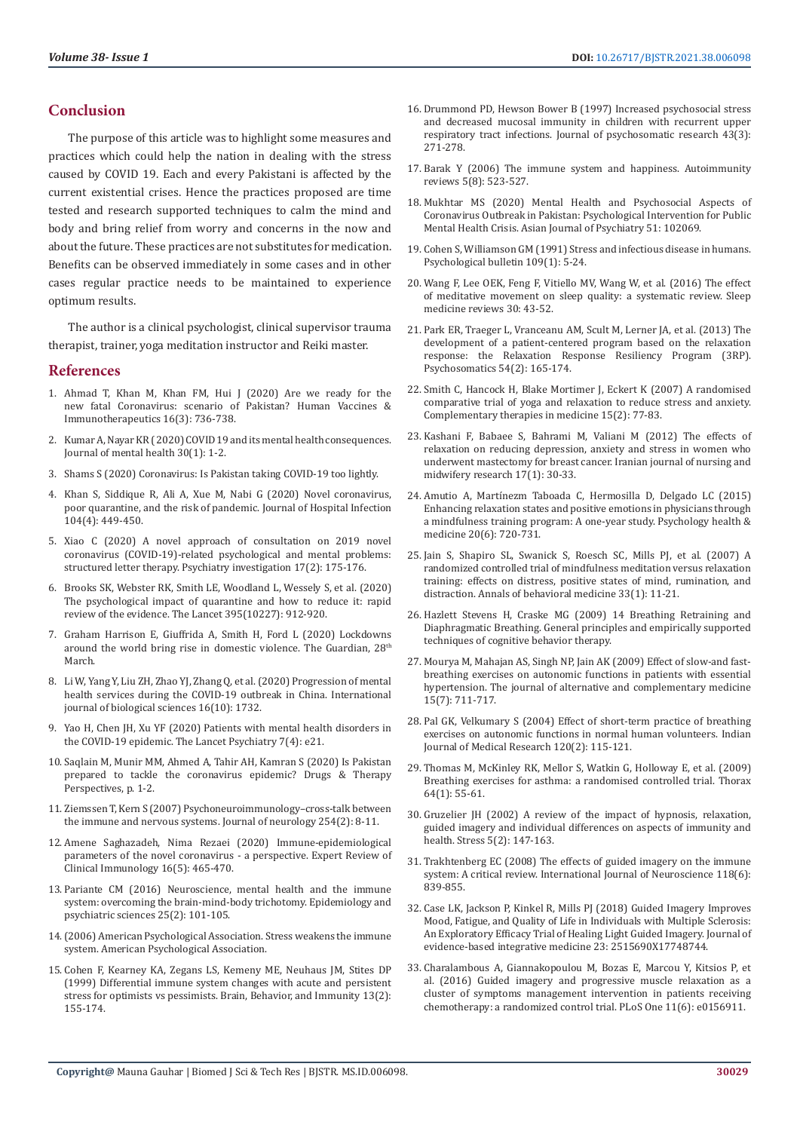## **Conclusion**

The purpose of this article was to highlight some measures and practices which could help the nation in dealing with the stress caused by COVID 19. Each and every Pakistani is affected by the current existential crises. Hence the practices proposed are time tested and research supported techniques to calm the mind and body and bring relief from worry and concerns in the now and about the future. These practices are not substitutes for medication. Benefits can be observed immediately in some cases and in other cases regular practice needs to be maintained to experience optimum results.

The author is a clinical psychologist, clinical supervisor trauma therapist, trainer, yoga meditation instructor and Reiki master.

#### **References**

- 1. [Ahmad T, Khan M, Khan FM, Hui J \(2020\) Are we ready for the](https://www.ncbi.nlm.nih.gov/pmc/articles/PMC7227718/)  [new fatal Coronavirus: scenario of Pakistan? Human Vaccines &](https://www.ncbi.nlm.nih.gov/pmc/articles/PMC7227718/)  [Immunotherapeutics 16\(3\): 736-738.](https://www.ncbi.nlm.nih.gov/pmc/articles/PMC7227718/)
- 2. [Kumar A, Nayar KR \( 2020\) COVID 19 and its mental health consequences.](https://www.tandfonline.com/doi/full/10.1080/09638237.2020.1757052)  [Journal of mental health 30\(1\): 1-2.](https://www.tandfonline.com/doi/full/10.1080/09638237.2020.1757052)
- 3. [Shams S \(2020\) Coronavirus: Is Pakistan taking COVID-19 too lightly.](https://www.dw.com/en/coronavirus-is-pakistan-taking-covid-19-too-lightly/a-52824403)
- 4. [Khan S, Siddique R, Ali A, Xue M, Nabi G \(2020\) Novel coronavirus,](https://pubmed.ncbi.nlm.nih.gov/32057788/)  [poor quarantine, and the risk of pandemic. Journal of Hospital Infection](https://pubmed.ncbi.nlm.nih.gov/32057788/)  [104\(4\): 449-450.](https://pubmed.ncbi.nlm.nih.gov/32057788/)
- 5. [Xiao C \(2020\) A novel approach of consultation on 2019 novel](https://pubmed.ncbi.nlm.nih.gov/32093461/)  [coronavirus \(COVID-19\)-related psychological and mental problems:](https://pubmed.ncbi.nlm.nih.gov/32093461/)  [structured letter therapy. Psychiatry investigation 17\(2\): 175-176.](https://pubmed.ncbi.nlm.nih.gov/32093461/)
- 6. [Brooks SK, Webster RK, Smith LE, Woodland L, Wessely S, et al. \(2020\)](https://www.thelancet.com/journals/lancet/article/PIIS0140-6736(20)30460-8/fulltext)  [The psychological impact of quarantine and how to reduce it: rapid](https://www.thelancet.com/journals/lancet/article/PIIS0140-6736(20)30460-8/fulltext)  [review of the evidence. The Lancet 395\(10227\): 912-920.](https://www.thelancet.com/journals/lancet/article/PIIS0140-6736(20)30460-8/fulltext)
- 7. [Graham Harrison E, Giuffrida A, Smith H, Ford L \(2020\) Lockdowns](https://www.theguardian.com/society/2020/mar/28/lockdowns-world-rise-domestic-violence)  [around the world bring rise in domestic violence. The Guardian, 28](https://www.theguardian.com/society/2020/mar/28/lockdowns-world-rise-domestic-violence)th [March.](https://www.theguardian.com/society/2020/mar/28/lockdowns-world-rise-domestic-violence)
- 8. [Li W, Yang Y, Liu ZH, Zhao YJ, Zhang Q, et al. \(2020\) Progression of mental](https://www.ncbi.nlm.nih.gov/pmc/articles/PMC7098037/)  [health services during the COVID-19 outbreak in China. International](https://www.ncbi.nlm.nih.gov/pmc/articles/PMC7098037/)  [journal of biological sciences 16\(10\): 1732.](https://www.ncbi.nlm.nih.gov/pmc/articles/PMC7098037/)
- 9. [Yao H, Chen JH, Xu YF \(2020\) Patients with mental health disorders in](https://pubmed.ncbi.nlm.nih.gov/32199510/)  [the COVID-19 epidemic. The Lancet Psychiatry 7\(4\): e21.](https://pubmed.ncbi.nlm.nih.gov/32199510/)
- 10. [Saqlain M, Munir MM, Ahmed A, Tahir AH, Kamran S \(2020\) Is Pakistan](https://www.ncbi.nlm.nih.gov/pmc/articles/PMC7095264/)  [prepared to tackle the coronavirus epidemic? Drugs & Therapy](https://www.ncbi.nlm.nih.gov/pmc/articles/PMC7095264/)  [Perspectives, p. 1-2.](https://www.ncbi.nlm.nih.gov/pmc/articles/PMC7095264/)
- 11. [Ziemssen T, Kern S \(2007\) Psychoneuroimmunology–cross-talk between](https://pubmed.ncbi.nlm.nih.gov/17503136/)  [the immune and nervous systems. Journal of neurology 254\(2\): 8-11.](https://pubmed.ncbi.nlm.nih.gov/17503136/)
- 12. [Amene Saghazadeh, Nima Rezaei \(2020\) Immune-epidemiological](https://pubmed.ncbi.nlm.nih.gov/32237901/)  [parameters of the novel coronavirus - a perspective. Expert Review of](https://pubmed.ncbi.nlm.nih.gov/32237901/)  [Clinical Immunology 16\(5\): 465-470.](https://pubmed.ncbi.nlm.nih.gov/32237901/)
- 13. [Pariante CM \(2016\) Neuroscience, mental health and the immune](https://pubmed.ncbi.nlm.nih.gov/26503420/)  [system: overcoming the brain-mind-body trichotomy. Epidemiology and](https://pubmed.ncbi.nlm.nih.gov/26503420/)  [psychiatric sciences 25\(2\): 101-105.](https://pubmed.ncbi.nlm.nih.gov/26503420/)
- 14.[\(2006\) American Psychological Association. Stress weakens the immune](https://www.apa.org/research/action/immune)  [system. American Psychological Association.](https://www.apa.org/research/action/immune)
- 15. [Cohen F, Kearney KA, Zegans LS, Kemeny ME, Neuhaus JM, Stites DP](https://pubmed.ncbi.nlm.nih.gov/2006229/)  [\(1999\) Differential immune system changes with acute and persistent](https://pubmed.ncbi.nlm.nih.gov/2006229/)  [stress for optimists vs pessimists. Brain, Behavior, and Immunity 13\(2\):](https://pubmed.ncbi.nlm.nih.gov/2006229/)  [155-174.](https://pubmed.ncbi.nlm.nih.gov/2006229/)
- 16. [Drummond PD, Hewson Bower B \(1997\) Increased psychosocial stress](https://researchrepository.murdoch.edu.au/id/eprint/2205/) [and decreased mucosal immunity in children with recurrent upper](https://researchrepository.murdoch.edu.au/id/eprint/2205/) [respiratory tract infections. Journal of psychosomatic research 43\(3\):](https://researchrepository.murdoch.edu.au/id/eprint/2205/) [271-278.](https://researchrepository.murdoch.edu.au/id/eprint/2205/)
- 17. [Barak Y \(2006\) The immune system and happiness. Autoimmunity](https://pubmed.ncbi.nlm.nih.gov/17027886/) [reviews 5\(8\): 523-527.](https://pubmed.ncbi.nlm.nih.gov/17027886/)
- 18. [Mukhtar MS \(2020\) Mental Health and Psychosocial Aspects of](https://www.ncbi.nlm.nih.gov/pmc/articles/PMC7161472/) [Coronavirus Outbreak in Pakistan: Psychological Intervention for Public](https://www.ncbi.nlm.nih.gov/pmc/articles/PMC7161472/) [Mental Health Crisis. Asian Journal of Psychiatry 51: 102069.](https://www.ncbi.nlm.nih.gov/pmc/articles/PMC7161472/)
- 19. [Cohen S, Williamson GM \(1991\) Stress and infectious disease in humans.](https://pubmed.ncbi.nlm.nih.gov/2006229/) [Psychological bulletin 109\(1\): 5-24.](https://pubmed.ncbi.nlm.nih.gov/2006229/)
- 20. [Wang F, Lee OEK, Feng F, Vitiello MV, Wang W, et al. \(2016\) The effect](https://pubmed.ncbi.nlm.nih.gov/26802824/) [of meditative movement on sleep quality: a systematic review. Sleep](https://pubmed.ncbi.nlm.nih.gov/26802824/) [medicine reviews 30: 43-52.](https://pubmed.ncbi.nlm.nih.gov/26802824/)
- 21. [Park ER, Traeger L, Vranceanu AM, Scult M, Lerner JA, et al. \(2013\) The](https://pubmed.ncbi.nlm.nih.gov/23352048/) [development of a patient-centered program based on the relaxation](https://pubmed.ncbi.nlm.nih.gov/23352048/) [response: the Relaxation Response Resiliency Program \(3RP\).](https://pubmed.ncbi.nlm.nih.gov/23352048/) [Psychosomatics 54\(2\): 165-174.](https://pubmed.ncbi.nlm.nih.gov/23352048/)
- 22. [Smith C, Hancock H, Blake Mortimer J, Eckert K \(2007\) A randomised](https://pubmed.ncbi.nlm.nih.gov/17544857/) [comparative trial of yoga and relaxation to reduce stress and anxiety.](https://pubmed.ncbi.nlm.nih.gov/17544857/) [Complementary therapies in medicine 15\(2\): 77-83.](https://pubmed.ncbi.nlm.nih.gov/17544857/)
- 23. [Kashani F, Babaee S, Bahrami M, Valiani M \(2012\) The effects of](https://www.ncbi.nlm.nih.gov/pmc/articles/PMC3590692/) [relaxation on reducing depression, anxiety and stress in women who](https://www.ncbi.nlm.nih.gov/pmc/articles/PMC3590692/) [underwent mastectomy for breast cancer. Iranian journal of nursing and](https://www.ncbi.nlm.nih.gov/pmc/articles/PMC3590692/) [midwifery research 17\(1\): 30-33.](https://www.ncbi.nlm.nih.gov/pmc/articles/PMC3590692/)
- 24. [Amutio A, Martínezm Taboada C, Hermosilla D, Delgado LC \(2015\)](https://pubmed.ncbi.nlm.nih.gov/25485658/) [Enhancing relaxation states and positive emotions in physicians through](https://pubmed.ncbi.nlm.nih.gov/25485658/) [a mindfulness training program: A one-year study. Psychology health &](https://pubmed.ncbi.nlm.nih.gov/25485658/) [medicine 20\(6\): 720-731.](https://pubmed.ncbi.nlm.nih.gov/25485658/)
- 25. [Jain S, Shapiro SL, Swanick S, Roesch SC, Mills PJ, et al. \(2007\) A](https://pubmed.ncbi.nlm.nih.gov/17291166/) [randomized controlled trial of mindfulness meditation versus relaxation](https://pubmed.ncbi.nlm.nih.gov/17291166/) [training: effects on distress, positive states of mind, rumination, and](https://pubmed.ncbi.nlm.nih.gov/17291166/) [distraction. Annals of behavioral medicine 33\(1\): 11-21.](https://pubmed.ncbi.nlm.nih.gov/17291166/)
- 26. Hazlett Stevens H, Craske MG (2009) 14 Breathing Retraining and Diaphragmatic Breathing. General principles and empirically supported techniques of cognitive behavior therapy.
- 27. [Mourya M, Mahajan AS, Singh NP, Jain AK \(2009\) Effect of slow-and fast](https://pubmed.ncbi.nlm.nih.gov/19534616/)[breathing exercises on autonomic functions in patients with essential](https://pubmed.ncbi.nlm.nih.gov/19534616/) [hypertension. The journal of alternative and complementary medicine](https://pubmed.ncbi.nlm.nih.gov/19534616/) [15\(7\): 711-717.](https://pubmed.ncbi.nlm.nih.gov/19534616/)
- 28. [Pal GK, Velkumary S \(2004\) Effect of short-term practice of breathing](https://pubmed.ncbi.nlm.nih.gov/15347862/) [exercises on autonomic functions in normal human volunteers. Indian](https://pubmed.ncbi.nlm.nih.gov/15347862/) [Journal of Medical Research 120\(2\): 115-121.](https://pubmed.ncbi.nlm.nih.gov/15347862/)
- 29. [Thomas M, McKinley RK, Mellor S, Watkin G, Holloway E, et al. \(2009\)](https://pubmed.ncbi.nlm.nih.gov/19052047/) [Breathing exercises for asthma: a randomised controlled trial. Thorax](https://pubmed.ncbi.nlm.nih.gov/19052047/) [64\(1\): 55-61.](https://pubmed.ncbi.nlm.nih.gov/19052047/)
- 30. [Gruzelier JH \(2002\) A review of the impact of hypnosis, relaxation,](https://pubmed.ncbi.nlm.nih.gov/12186693/) [guided imagery and individual differences on aspects of immunity and](https://pubmed.ncbi.nlm.nih.gov/12186693/) [health. Stress 5\(2\): 147-163.](https://pubmed.ncbi.nlm.nih.gov/12186693/)
- 31. [Trakhtenberg EC \(2008\) The effects of guided imagery on the immune](https://pubmed.ncbi.nlm.nih.gov/18465428/) [system: A critical review. International Journal of Neuroscience 118\(6\):](https://pubmed.ncbi.nlm.nih.gov/18465428/) [839-855.](https://pubmed.ncbi.nlm.nih.gov/18465428/)
- 32. [Case LK, Jackson P, Kinkel R, Mills PJ \(2018\) Guided Imagery Improves](https://www.ncbi.nlm.nih.gov/pmc/articles/PMC5871039/) [Mood, Fatigue, and Quality of Life in Individuals with Multiple Sclerosis:](https://www.ncbi.nlm.nih.gov/pmc/articles/PMC5871039/) [An Exploratory Efficacy Trial of Healing Light Guided Imagery. Journal of](https://www.ncbi.nlm.nih.gov/pmc/articles/PMC5871039/) [evidence-based integrative medicine 23: 2515690X17748744.](https://www.ncbi.nlm.nih.gov/pmc/articles/PMC5871039/)
- 33. [Charalambous A, Giannakopoulou M, Bozas E, Marcou Y, Kitsios P, et](https://pubmed.ncbi.nlm.nih.gov/27341675/) [al. \(2016\) Guided imagery and progressive muscle relaxation as a](https://pubmed.ncbi.nlm.nih.gov/27341675/) [cluster of symptoms management intervention in patients receiving](https://pubmed.ncbi.nlm.nih.gov/27341675/) [chemotherapy: a randomized control trial. PLoS One 11\(6\): e0156911.](https://pubmed.ncbi.nlm.nih.gov/27341675/)